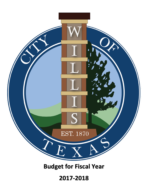

**Budget for Fiscal Year**

**2017-2018**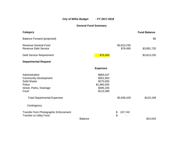City of Willis Budget - FY 2017-2018

**General Fund Summary**

| Category                                                                                                    |                                                                              |                         | <b>Fund Balance</b> |
|-------------------------------------------------------------------------------------------------------------|------------------------------------------------------------------------------|-------------------------|---------------------|
| <b>Balance Forward (projected)</b>                                                                          |                                                                              |                         | \$0                 |
| <b>Revenue General Fund</b><br><b>Revenue Debt Service</b>                                                  |                                                                              | \$3,813,230<br>\$78,490 | \$3,891,720         |
| Debt Service Requirement                                                                                    | \$78,490                                                                     |                         | \$3,813,230         |
| <b>Departmental Request</b>                                                                                 |                                                                              |                         |                     |
|                                                                                                             | <b>Expenses</b>                                                              |                         |                     |
| Administration<br><b>Community Development</b><br>Solid Waste<br>Police<br>Street, Parks, Drainage<br>Court | \$893,247<br>\$301,953<br>\$270,000<br>\$1,860,505<br>\$495,335<br>\$115,389 |                         |                     |
| <b>Total Departmental Expenses</b><br>Contingency                                                           |                                                                              | \$3,936,429             | $-$123,199$         |
| <b>Transfer from Photographic Enforcement</b><br><b>Transfer to Utility Fund</b>                            | <b>Balance</b>                                                               | \$<br>137,742<br>\$     | \$14,543            |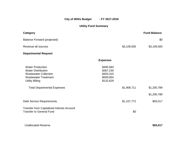City of Willis Budget - FY 2017-2018

# **Utility Fund Summary**

| <b>Category</b>                                                                                                                                                                     |                                                               |             | <b>Fund Balance</b> |
|-------------------------------------------------------------------------------------------------------------------------------------------------------------------------------------|---------------------------------------------------------------|-------------|---------------------|
| <b>Balance Forward (projected)</b>                                                                                                                                                  |                                                               |             | \$0                 |
| Revenue all sources                                                                                                                                                                 |                                                               | \$3,109,500 | \$3,109,500         |
| <b>Departmental Request</b>                                                                                                                                                         |                                                               |             |                     |
|                                                                                                                                                                                     | <b>Expenses</b>                                               |             |                     |
| <b>Water Production</b><br><b>Water Distribution</b><br><b>Wastewater Collection</b><br><b>Wastewater Treatment</b><br><b>Utility Billing</b><br><b>Total Departmental Expenses</b> | \$495,583<br>\$367,230<br>\$403,315<br>\$509,954<br>\$132,629 | \$1,908,711 | \$1,200,789         |
|                                                                                                                                                                                     |                                                               |             | \$1,200,789         |
|                                                                                                                                                                                     |                                                               |             |                     |
| <b>Debt Service Requirements</b>                                                                                                                                                    |                                                               | \$1,107,772 | \$93,017            |
| <b>Transfer from Capitalized Interest Account</b><br><b>Transfer to General Fund</b>                                                                                                |                                                               | \$0         |                     |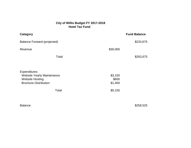## **City of Willis Budget FY 2017-2018 Hotel Tax Fund**

| <b>Category</b>                                                                                                             |                                        | <b>Fund Balance</b> |
|-----------------------------------------------------------------------------------------------------------------------------|----------------------------------------|---------------------|
| <b>Balance Forward-(projected)</b>                                                                                          |                                        | \$233,675           |
| Revenue                                                                                                                     | \$30,000                               |                     |
| Total                                                                                                                       |                                        | \$263,675           |
| <b>Expenditures</b><br><b>Website Yearly Maintenance</b><br><b>Website Hosting</b><br><b>Brochure Distribution</b><br>Total | \$3,150<br>\$600<br>\$1,400<br>\$5,150 |                     |

Balance \$258,525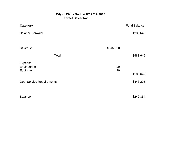## **City of Willis Budget FY 2017-2018** *Street Sales Tax*

| <b>Category</b>                     |            | <b>Fund Balance</b> |
|-------------------------------------|------------|---------------------|
| <b>Balance Forward</b>              |            | \$238,649           |
|                                     |            |                     |
| Revenue                             | \$345,000  |                     |
| Total                               |            | \$583,649           |
| Expense<br>Engineering<br>Equipment | \$0<br>\$0 |                     |
|                                     |            | \$583,649           |
| <b>Debt Service Requirements</b>    |            | \$343,295           |
|                                     |            |                     |
| <b>Balance</b>                      |            | \$240,354           |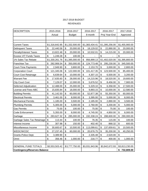#### 2017-2018 BUDGET REVENUES

| <b>DESCRIPTION</b>                  | 2015-2016        |                           | 2016-2017      |                           | 2016-2017      |                           | 2016-2017                    | 2017-2018 |                |
|-------------------------------------|------------------|---------------------------|----------------|---------------------------|----------------|---------------------------|------------------------------|-----------|----------------|
|                                     | Actual           |                           | <b>Budget</b>  |                           | 8-month        |                           | Proj Year-End                |           | Approved       |
|                                     |                  |                           |                |                           |                |                           |                              |           |                |
|                                     |                  |                           |                |                           |                |                           |                              |           |                |
| <b>Current Taxes</b>                | \$1,316,642.95   |                           | \$1,332,500.00 |                           | \$1,383,434.41 |                           | \$1,395,256.00               |           | \$1,455,900.00 |
| <b>Delinquent Taxes</b>             | \$<br>22,440.58  | \$                        | 20,000.00      | \$                        | 18,129.02      | \$                        | 22,890.00                    | \$        | 20,000.00      |
| <b>Penalty/Interest Taxes</b>       | \$<br>13,822.48  | \$                        | 20,000.00      | \$                        | 10,532.01      | \$                        | 14,215.00                    | \$        | 20,000.00      |
| <b>Excess VIT Funds Taxes</b>       | \$<br>1,249.28   | \$                        | 100.00         | $\boldsymbol{\mathsf{S}}$ | $\blacksquare$ | \$                        | $\qquad \qquad \blacksquare$ | \$        |                |
| 1% Sales Tax Rebate                 | \$1,330,261.76   |                           | \$1,395,000.00 | $\mathfrak{S}$            | 956,899.13     |                           | \$1,402,020.00               |           | \$1,395,800.00 |
| Franchise Tax                       | \$<br>282,906.54 | \$                        | 350,000.00     | \$                        | 124,773.48     | \$                        | 295,230.00                   | \$        | 345,500.00     |
| <b>Court-Time Payments</b>          | \$<br>2,949.90   | \$                        | 3,800.00       | $\boldsymbol{\mathsf{S}}$ | 2,153.70       | \$                        | 3,000.00                     | \$        | 2,800.00       |
| <b>Corporation Court</b>            | \$<br>121,345.06 | \$                        | 122,000.00     | \$                        | 101,417.35     | \$                        | 123,500.00                   | \$        | 85,400.00      |
| Court Cost Retainage                | \$<br>6,639.64   | \$                        | 10,000.00      | \$                        | 4,307.15       | \$                        | 6,500.00                     | \$        | 3,200.00       |
| <b>Warrant Fee</b>                  | \$<br>17,635.60  | \$                        | 28,000.00      | $\boldsymbol{\mathsf{S}}$ | 14,215.96      | \$                        | 18,520.00                    | \$        | 19,600.00      |
| <b>City Court Cost</b>              | \$<br>7,129.07   | \$                        | 12,000.00      | \$                        | 5,676.52       | \$                        | 8,456.00                     | \$        | 7,900.00       |
| Deferred Adjudication               | \$<br>12,488.00  | $\boldsymbol{\mathsf{S}}$ | 25,000.00      | \$                        | 5,329.10       | \$                        | 6,358.00                     | \$        | 17,500.00      |
| License and Fees-ABC                | \$<br>15,835.84  | $\mathfrak{S}$            | 18,000.00      | \$                        | 9,893.15       | \$                        | 10,000.00                    | \$        | 12,580.00      |
| <b>Building Permits</b>             | \$<br>41,142.50  | \$                        | 60,000.00      | \$                        | 52,877.38      | \$                        | 55,350.00                    | \$        | 60,000.00      |
| <b>Electrical Permits</b>           | \$<br>3,461.00   | $\mathfrak{S}$            | 8,000.00       | \$                        | 3,395.00       | \$                        | 5,000.00                     | \$        | 8,000.00       |
| <b>Mechanical Permits</b>           | \$<br>1,185.00   | \$                        | 3,500.00       | \$                        | 2,185.00       | \$                        | 2,890.00                     | \$        | 3,500.00       |
| <b>Plumbing Permits</b>             | \$<br>5,305.00   | \$                        | 5,000.00       | \$                        | 2,760.00       | \$                        | 3,200.00                     | \$        | 5,000.00       |
| <b>Gas Permits</b>                  | \$<br>75.00      | \$                        | 100.00         | \$                        | 75.00          | \$                        | 75.00                        | \$        | 100.00         |
| Code Enforcement                    | \$<br>5,355.00   | \$                        | 8,000.00       | $\boldsymbol{\mathsf{S}}$ | 4,745.00       | \$                        | 4,850.00                     | \$        | 8,000.00       |
| Garbage                             | \$<br>283,627.32 | \$                        | 285,000.00     | $\boldsymbol{\theta}$     | 192,338.24     | \$                        | 288,600.00                   | \$        | 290,000.00     |
| Garbage Sales Tax Retainage         | \$<br>113.44     | \$                        | 100.00         | \$                        | 76.35          | \$                        | 115.00                       | \$        | 100.00         |
| Interest Income                     | \$<br>307.98     | \$                        | 150.00         | $\boldsymbol{\mathsf{S}}$ | 402.40         | $\boldsymbol{\mathsf{S}}$ | 868.32                       | \$        | 600.00         |
| Miscellaneous Income                | \$<br>30,600.67  | \$                        | 10,500.00      | \$                        | 113,099.61     | \$                        | 137,659.61                   | \$        | 10,500.00      |
| WEDC/WCDC                           | \$<br>27,237.45  | \$                        | 60,000.00      | \$                        | 20,676.75      | \$                        | 35,200.00                    | \$        | 40,250.00      |
| Grants-Police Dept.                 | \$<br>3,389.90   | \$                        |                | $\boldsymbol{\mathsf{S}}$ | 2,335.48       | \$                        | 2,520.00                     | \$        |                |
| Omni                                | \$<br>356.46     | \$                        | 1,000.00       | $\boldsymbol{\mathsf{S}}$ | 216.77         | \$                        | 400.00                       | \$        | 1,000.00       |
|                                     |                  |                           |                |                           |                |                           |                              |           |                |
| <b>GENERAL FUND TOTALS</b>          | \$3,553,503.42   |                           | \$3,777,750.00 |                           | \$3,031,943.96 |                           | \$3,842,672.93               |           | \$3,813,230.00 |
| <b>Contingency/Reserves Balance</b> |                  |                           |                |                           |                |                           |                              | \$        | 732,809.00     |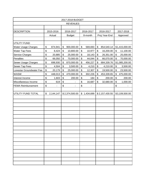| 2017-2018 BUDGET           |    |                          |    |                          |    |             |    |                |           |                |  |
|----------------------------|----|--------------------------|----|--------------------------|----|-------------|----|----------------|-----------|----------------|--|
| <b>REVENUES</b>            |    |                          |    |                          |    |             |    |                |           |                |  |
|                            |    |                          |    |                          |    |             |    |                |           |                |  |
| <b>DESCRIPTION</b>         |    | 2015-2016                |    | 2016-2017                |    | 2016-2017   |    | 2016-2017      | 2017-2018 |                |  |
|                            |    | Actual                   |    | <b>Budget</b>            |    | 8-month     |    | Proj Year-End  | Approved  |                |  |
|                            |    |                          |    |                          |    |             |    |                |           |                |  |
| UTILITY FUND               |    |                          |    |                          |    |             |    |                |           |                |  |
| <b>Water Usage Charges</b> | \$ | 874,941                  | \$ | 900,000.00               | \$ | 569,693     | \$ | 854,540.14     |           | \$1,415,000.00 |  |
| <b>Water Tap Fees</b>      | \$ | 8,424                    | \$ | 10,800.00                | \$ | 10,977      | \$ | 16,200.00      | \$        | 11,100.00      |  |
| <b>Service Charges</b>     | \$ | 20,885                   | \$ | 25,000.00                | \$ | 18,143      | \$ | 26,351.00      | \$        | 25,000.00      |  |
| Penalties                  | \$ | 66,050                   | \$ | 70,000.00                | \$ | 44,044      | \$ | 66,070.00      | \$        | 70,000.00      |  |
| <b>Sewer Usage Charges</b> | \$ | 698,930                  | \$ | 870,000.00               | \$ | 456,227     | \$ | 684,339.76     |           | \$1,085,200.00 |  |
| <b>Sewer Tap Fees</b>      | \$ | 4,504                    | \$ | 3,500.00                 | \$ | 4,210       | \$ | 4,210.00       | \$        | 3,500.00       |  |
| Lonestar Groundwater Fee   | \$ | 20,179                   | \$ | 25,000.00                | \$ | 12,307      | \$ | 19,500.00      | \$        | 23,500.00      |  |
| <b>WASW</b>                | \$ | 448,013                  | \$ | 470,000.00               | \$ | 302,226     | \$ | 453,339.65     | \$        | 475,000.00     |  |
| Interest Income            | \$ | 1,603                    | \$ | 200.00                   | \$ | 184         | \$ | 200.00         | \$        | 200.00         |  |
| Miscellaneous Income       | \$ | 619                      | \$ |                          | \$ | 16,687      | \$ | 32,680.00      | \$        | 1,000.00       |  |
| <b>FEMA Reimbursement</b>  | \$ | $\overline{\phantom{a}}$ | \$ | $\overline{\phantom{a}}$ | \$ |             |    |                | \$        |                |  |
|                            |    |                          |    |                          |    |             |    |                |           |                |  |
| UTILITY FUND TOTAL         | \$ | 2,144,147                |    | \$2,374,500.00           |    | \$1,434,699 |    | \$2,157,430.55 |           | \$3,109,500.00 |  |
|                            |    |                          |    |                          |    |             |    |                |           |                |  |
|                            |    |                          |    |                          |    |             |    |                |           |                |  |
|                            |    |                          |    |                          |    |             |    |                |           |                |  |
|                            |    |                          |    |                          |    |             |    |                |           |                |  |
|                            |    |                          |    |                          |    |             |    |                |           |                |  |
|                            |    |                          |    |                          |    |             |    |                |           |                |  |
|                            |    |                          |    |                          |    |             |    |                |           |                |  |
|                            |    |                          |    |                          |    |             |    |                |           |                |  |
|                            |    |                          |    |                          |    |             |    |                |           |                |  |
|                            |    |                          |    |                          |    |             |    |                |           |                |  |
|                            |    |                          |    |                          |    |             |    |                |           |                |  |
|                            |    |                          |    |                          |    |             |    |                |           |                |  |
|                            |    |                          |    |                          |    |             |    |                |           |                |  |
|                            |    |                          |    |                          |    |             |    |                |           |                |  |
|                            |    |                          |    |                          |    |             |    |                |           |                |  |
|                            |    |                          |    |                          |    |             |    |                |           |                |  |
|                            |    |                          |    |                          |    |             |    |                |           |                |  |
|                            |    |                          |    |                          |    |             |    |                |           |                |  |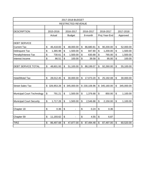| 2017-2018 BUDGET                  |              |            |                         |                          |           |              |           |               |                           |            |  |  |
|-----------------------------------|--------------|------------|-------------------------|--------------------------|-----------|--------------|-----------|---------------|---------------------------|------------|--|--|
| <b>RESTRICTED REVENUE</b>         |              |            |                         |                          |           |              |           |               |                           |            |  |  |
|                                   |              |            |                         |                          |           |              |           |               |                           |            |  |  |
| <b>DESCRIPTION</b>                |              | 2015-2016  |                         | 2016-2017                | 2016-2017 |              | 2016-2017 |               | 2017-2018                 |            |  |  |
|                                   |              | Actual     |                         | <b>Budget</b>            |           | 8-month      |           | Proj Year-End | Approved                  |            |  |  |
|                                   |              |            |                         |                          |           |              |           |               |                           |            |  |  |
| <b>DEBT SERVICE</b>               |              |            |                         |                          |           |              |           |               |                           |            |  |  |
| <b>Current Tax</b>                | \$           | 46,418.83  | \$                      | 48,000.00                | \$        | 86,680.81    | \$        | 90,200.00     | \$                        | 52,000.00  |  |  |
| <b>Delinquent Tax</b>             | \$           | 1,365.98   | \$                      | 1,500.00                 | \$        | 847.80       | \$        | 1,200.00      | \$                        | 1,500.00   |  |  |
| Penalty/Interest Tax              | \$           | 730.61     | \$                      | 1,500.00                 | \$        | 630.88       | \$        | 765.00        | \$                        | 1,500.00   |  |  |
| Interest Income                   | \$           | 86.51      | \$                      | 100.00                   | \$        | 39.58        | \$        | 95.00         | \$                        | 100.00     |  |  |
|                                   |              |            |                         |                          |           |              |           |               |                           |            |  |  |
| <b>DEBT SERVICE TOTAL</b>         | \$           | 48,601.93  | \$                      | 51,100.00                | \$        | 88,199.07    | \$        | 92,260.00     | \$                        | 55,100.00  |  |  |
|                                   |              |            |                         |                          |           |              |           |               |                           |            |  |  |
|                                   |              |            |                         |                          |           |              |           |               |                           |            |  |  |
| Hotel/Motel Tax                   | \$           | 28,012.45  | \$                      | 30,000.00                | \$        | 17,073.20    | \$        | 25,192.08     | \$                        | 30,000.00  |  |  |
|                                   |              |            |                         |                          |           |              |           |               |                           |            |  |  |
| <b>Street Sales Tax</b>           | $\mathbb{S}$ | 326,953.28 | \$                      | 345,000.00               |           | \$230,106.96 | \$        | 345,160.00    | $\boldsymbol{\mathsf{S}}$ | 345,000.00 |  |  |
|                                   |              |            |                         |                          |           |              |           |               |                           |            |  |  |
| <b>Municipal Court Technology</b> | \$           | 791.21     | \$                      | 1,500.00                 | \$        | 1,376.68     | \$        | 850.00        | \$                        | 1,100.00   |  |  |
|                                   |              |            |                         |                          |           |              |           |               |                           |            |  |  |
| <b>Municipal Court Security</b>   | \$           | 1,717.28   | \$                      | 1,500.00                 | \$        | 2,546.88     | \$        | 2,150.00      | \$                        | 1,100.00   |  |  |
|                                   |              |            |                         |                          |           |              |           |               |                           |            |  |  |
| Chapter 18                        | \$           | 0.36       | \$                      | $\overline{\phantom{a}}$ | \$        | 0.24         | \$        | 0.36          |                           |            |  |  |
|                                   |              |            |                         |                          |           |              |           |               |                           |            |  |  |
| Chapter 59                        | \$           | 11,193.62  | \$                      | $\overline{\phantom{a}}$ | \$        | 4.55         | \$        | 6.87          |                           |            |  |  |
|                                   |              |            |                         |                          |           |              |           |               |                           |            |  |  |
| <b>TIRZ</b>                       | \$           | 86,497.68  | $\overline{\mathbf{S}}$ | 47,877.00                | \$        | 87,494.48    | \$        | 87,497.00     | $\overline{\mathcal{E}}$  | 60,520.00  |  |  |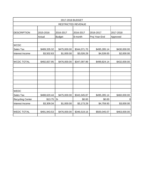|                         |              | 2017-2018 BUDGET   |              |               |              |
|-------------------------|--------------|--------------------|--------------|---------------|--------------|
|                         |              | RESTRICTED REVENUE |              |               |              |
|                         |              |                    |              |               |              |
| <b>DESCRIPTION</b>      | 2015-2016    | 2016-2017          | 2016-2017    | 2016-2017     | 2017-2018    |
|                         | Actual       | <b>Budget</b>      | 8-month      | Proj Year-End | Approved     |
| <b>WCDC</b>             |              |                    |              |               |              |
| Sales Tax               | \$489,335.32 | \$475,000.00       | \$344,071.70 | \$495,285.14  | \$430,000.00 |
| Interest Income         | \$3,502.63   | \$1,000.00         | \$3,026.29   | \$4,539.00    | \$2,000.00   |
| <b>WCDC TOTAL</b>       | \$492,837.95 | \$476,000.00       | \$347,097.99 | \$499,824.14  | \$432,000.00 |
|                         |              |                    |              |               |              |
|                         |              |                    |              |               |              |
|                         |              |                    |              |               |              |
|                         |              |                    |              |               |              |
| <b>WEDC</b>             |              |                    |              |               |              |
| Sales Tax               | \$488,620.44 | \$475,000.00       | \$343,345.87 | \$495,285.14  | \$460,000.00 |
| <b>Recycling Center</b> | \$13.75      | $\mathcal{S}$ -    | \$0.00       | \$0.00        | 0            |
| Interest Income         | \$3,309.34   | \$1,000.00         | \$3,173.29   | \$4,759.93    | \$3,000.00   |
| <b>WEDC TOTAL</b>       | \$491,943.53 | \$476,000.00       | \$346,519.16 | \$500,045.07  | \$463,000.00 |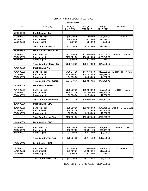#### CITY OF WILLIS BUDGET FY 2017-2018

Debt Service

| No.        | Category                          | <b>Budget</b> | <b>Budget</b> | <b>Budget</b>           | Reference                           |
|------------|-----------------------------------|---------------|---------------|-------------------------|-------------------------------------|
|            |                                   | 2015-2016     | 2016-2017     | 2017-2018               |                                     |
| 5950006800 | <b>Debt Service - Tax</b>         |               |               |                         |                                     |
| 5900006811 | <b>Bond Principal</b>             | \$50,000.00   | \$25,500.00   | \$63,750.00             | <b>EXHIBIT: K</b>                   |
| 5900006812 | <b>Bond Interest</b>              | \$16,770.00   | \$16,275.00   | \$14,490.00             |                                     |
| 5900006813 | Paying Agent                      | \$250.00      | \$250.00      | \$250.00                |                                     |
|            | <b>Total Debt Service Tax</b>     | \$67,020.00   | \$42,025.00   | \$78,490.00             |                                     |
| 2348006800 | <b>Debt Service - Street Tax</b>  |               |               |                         |                                     |
| 2348006811 | <b>Bond Principal</b>             | \$52,800.00   | \$176,000.00  | \$186,000.00            | EXHIBIT: J, K, M                    |
| 2348006812 | <b>Bond Interest</b>              | \$139,922.00  | \$160,029.50  | \$156,545.50            |                                     |
| 2348006813 | Paying Agent                      | \$750.00      | \$750.00      | \$750.00                |                                     |
|            | <b>Total Debt Serv Street Tax</b> | \$193,472.00  | \$336,779.50  | \$343,295.50            |                                     |
| 7943006800 | <b>Debt Service Water</b>         |               |               |                         |                                     |
| 7943006811 | <b>Bond Principal</b>             | \$456,544.29  | \$479,794.70  | \$406,631.00            | EXHIBIT:H, I, J, K, N               |
| 7943006812 | <b>Bond Interest</b>              | \$206,546.47  | \$244,812.56  | \$373,589.49            |                                     |
| 7943006813 | Paying Agent                      | \$4,250.00    | \$4,250.00    | \$4,250.00              |                                     |
|            | <b>Total Debt Service Water</b>   | \$667,340.76  | \$728,857.26  | \$784,470.49            |                                     |
| 7944006800 | <b>Debt Service Sewer</b>         |               |               |                         |                                     |
| 7944006811 | <b>Bond Principal</b>             | \$100,000.00  | \$100,000.00  | \$87,631.00             | EXHIBIT: F, J, N                    |
| 7944006812 | <b>Bond Interest</b>              | \$144,712.00  | \$87,507.00   | \$233,170.99            |                                     |
| 7944006813 | Paying Agent                      | \$2,500.00    | \$2,500.00    | \$2,500.00              |                                     |
|            | <b>Total Debt ServiceSewer</b>    | \$247,212.00  | \$190,007.00  | \$323,301.99            |                                     |
| 2040006800 | <b>Debt Service - EDC</b>         |               |               |                         |                                     |
| 2040006811 | <b>Bond Principal</b>             | \$68,250.00   | \$110,100.00  |                         | \$148,419.00 EXHIBIT: D, G, K, L, N |
| 2040006812 | <b>Bond Interest</b>              | \$59,561.00   | \$77,725.46   | \$91,360.28             |                                     |
| 2040006813 | Paying Agent                      | \$2,250.00    | \$2,250.00    | \$2,250.00              |                                     |
|            | <b>Total Debt Service Tax</b>     | \$130,061.00  | \$190,075.46  | \$242,029.28            |                                     |
| 2140006800 | <b>Debt Service - CDC</b>         |               |               |                         |                                     |
|            |                                   |               |               |                         |                                     |
| 2140006811 | <b>Bond Principal</b>             | \$46,000.00   | \$52,000.00   | \$68,369.00             | EXHIBIT: L, N                       |
| 2140006812 | <b>Bond Interest</b>              | \$30,657.22   | \$26,521.20   | \$46,161.66             |                                     |
| 2140006813 | Paying Agent                      | \$2,250.00    | \$2,250.00    | \$2,250.00              |                                     |
|            | <b>Total Debt Service Tax</b>     | \$78,907.22   | \$80,771.20   | \$116,780.66            |                                     |
|            |                                   |               |               |                         |                                     |
| 1240006800 | <b>Debt Service - TIRZ</b>        |               |               |                         |                                     |
| 1240006811 | <b>Bond Principal</b>             | \$32,200.00   | \$36,400.00   | $\overline{$39,200.00}$ | EXHIBIT: L                          |
| 1240006812 | <b>Bond Interest</b>              | \$21,460.06   | \$18,564.84   | \$16,502.08             |                                     |
| 1240006813 | Paying Agent                      | \$250.00      | \$250.00      | \$250.00                |                                     |
|            |                                   |               |               |                         |                                     |
|            | <b>Total Debt Service Tax</b>     | \$53,910.06   | \$55,214.84   | \$55,952.08             |                                     |

\$1,437,923.04 \$ 1,623,730.26 \$1,944,320.00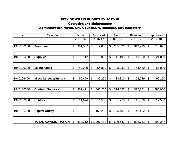## CITY OF WILLIS BUDGET FY 2017-18

# Operation and Maintenance

## Administration-Mayor, City Council,City Manager, City Secretary

| No.        | Category                    | Actual        |                           | Approved    |                | 8 mo    |                          | Projected | Approved                  |         |  |
|------------|-----------------------------|---------------|---------------------------|-------------|----------------|---------|--------------------------|-----------|---------------------------|---------|--|
|            |                             | 2015-16       |                           | 2016-17     |                | 2016-17 |                          | 2016-17   |                           | 2017-18 |  |
|            |                             |               |                           |             |                |         |                          |           |                           |         |  |
| 1940106100 | <b>Personnel</b>            | \$<br>391,567 | \$                        | 312,838     | \$             | 205,623 | $\$\$                    | 312,919   | \$                        | 318,697 |  |
|            |                             |               |                           |             |                |         |                          |           |                           |         |  |
|            |                             |               |                           |             |                |         |                          |           | $\boldsymbol{\mathsf{S}}$ |         |  |
| 1940106200 | <b>Supplies</b>             | \$<br>18,112  | \$                        | 19,000      | \$             | 11,198  | $\$\$                    | 19,050    |                           | 21,800  |  |
|            |                             |               |                           |             |                |         |                          |           |                           |         |  |
| 1940106300 | <b>Maintenance</b>          | \$<br>49,039  | \$                        | 54,800      | \$             | 35,239  | $\boldsymbol{\theta}$    | 64,430    | \$                        | 65,000  |  |
|            |                             |               |                           |             |                |         |                          |           |                           |         |  |
|            |                             |               |                           |             |                |         |                          |           |                           |         |  |
| 1940106400 | <b>Miscellaneous/Sundry</b> | \$<br>50,499  | \$                        | 89,250      | \$             | 38,810  | $\$\$                    | 62,089    | $\boldsymbol{\mathsf{S}}$ | 90,250  |  |
|            |                             |               |                           |             |                |         |                          |           |                           |         |  |
| 1940106500 | <b>Contract Services</b>    | \$<br>352,421 | \$                        | 365,200     | $\mathcal{S}$  | 318,057 | $\$\$                    | 372,281   | $\boldsymbol{\mathsf{S}}$ | 385,000 |  |
|            |                             |               |                           |             |                |         |                          |           |                           |         |  |
|            |                             |               |                           |             |                |         |                          |           |                           |         |  |
| 1940106600 | <b>Utilities</b>            | \$<br>11,674  | $\boldsymbol{\mathsf{S}}$ | 11,500      | $\mathfrak{S}$ | 5,275   | $\overline{\mathcal{G}}$ | 11,500    | $\overline{\mathcal{G}}$  | 12,500  |  |
|            |                             |               |                           |             |                |         |                          |           |                           |         |  |
|            |                             |               |                           |             |                |         |                          |           |                           |         |  |
| 1940106700 | <b>Capital Outlay</b>       | \$            | \$                        | 155,200     | $\mathcal{S}$  | 35,439  | $\$\$                    | 40,482    | \$                        |         |  |
|            |                             |               |                           |             |                |         |                          |           |                           |         |  |
|            |                             | \$            |                           |             |                |         |                          |           |                           |         |  |
|            | <b>TOTAL ADMINISTRATION</b> | 873,312       |                           | \$1,007,788 | $\mathcal{S}$  | 649,642 | \$                       | 882,751   | $\mathbb{S}$              | 893,247 |  |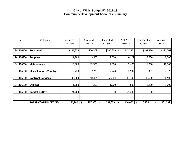## **City of Willis Budget FY 2017-18 Community Development Accounts Summary**

| No.        | Category                    | Approved      | Approved       | Requested     | 75% YTD       | Proj Year End | Approved      |
|------------|-----------------------------|---------------|----------------|---------------|---------------|---------------|---------------|
|            |                             | 2014-15       | 2015-16        | 2016-17       | 2016-17       | 2016-17       | 2017-18       |
|            |                             |               |                |               |               |               |               |
| 1941106100 | Personnel                   | \$197,853     | \$206,309      | $$206,309$ \$ | 113,297       | \$194,480     | \$221,562     |
|            |                             |               |                |               |               |               |               |
| 1941106200 | <b>Supplies</b>             | 11,700        | 9,500          | 9,500         | 4,129         | 8,300         | 8,300         |
|            |                             |               |                |               |               |               |               |
| 1941106300 | <b>Maintenance</b>          | 10,300        | 12,300         | 12,300        | 9,426         | 11,200        | 12,300        |
|            |                             |               |                |               |               |               |               |
| 1941106500 | <b>Miscellaneous/Sundry</b> | 9,220         | 7,720          | 7,720         | 2,932         | 6,431         | 7,470         |
|            |                             |               |                |               |               |               |               |
| 1941106500 | <b>Contract Services</b>    | 45,500        | 50,304         | 50,304        | 14,403        | 36,500        | 50,500        |
|            |                             |               |                |               |               |               |               |
| 1941106600 | <b>Utilities</b>            | 1,200         | 1,200          | 1,200         | 680           | 1,200         | 1,200         |
|            |                             |               |                |               |               |               |               |
| 1941106700 | <b>Capital Outlay</b>       | 21,209        | $\overline{0}$ | 0             | 21,209        | 01            | 0             |
|            |                             |               |                |               |               |               |               |
|            |                             |               |                |               |               |               |               |
|            | <b>TOTAL COMMUNITY DEV</b>  | \$<br>296,982 | 287,333<br>\$  | 287,333<br>\$ | \$<br>166,076 | \$<br>258,111 | 301,332<br>\$ |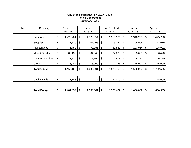#### **City of Willis Budget - FY 2017 - 2018 Police Department Summary Page**

| No. | Category                 | Actual<br>$2015 - 16$ |                           | <b>Budget</b><br>2016 - 17 |    | Proj Year-End<br>2016 - 17 |                           | Requested<br>$2017 - 18$ |                           | Approved<br>2017 - 18 |
|-----|--------------------------|-----------------------|---------------------------|----------------------------|----|----------------------------|---------------------------|--------------------------|---------------------------|-----------------------|
|     | Personnel                | \$<br>1,220,281       | \$                        | 1,325,554                  | \$ | 1,256,561                  | \$                        | 1,340,290                | \$                        | 1,445,758             |
|     | <b>Supplies</b>          | \$<br>71,216          | \$                        | 102,468                    | \$ | 79,784                     | \$                        | 104,968                  | \$                        | 111,076               |
|     | Maintenance              | \$<br>71,789          | \$                        | 99,286                     | \$ | 87,839                     | \$                        | 103,964                  | \$                        | 108,021               |
|     | Misc & Sundry            | \$<br>82,150          | \$                        | 84,843                     | \$ | 84,039                     | \$                        | 85,660                   | \$                        | 96,470                |
|     | <b>Contract Services</b> | \$<br>1,226           | \$                        | 8,850                      | \$ | 7,473                      | \$                        | 6,180                    | \$                        | 6,180                 |
|     | <b>Utilities</b>         | \$<br>13,444          | \$                        | 15,000                     | \$ | 12,766                     | \$                        | 15,000                   | \$                        | 15,000                |
|     | Total O & M              | \$<br>1,460,106       | \$                        | 1,636,001                  | \$ | 1,528,462                  | \$                        | 1,656,062                | $\boldsymbol{\mathsf{S}}$ | 1,782,505             |
|     |                          |                       |                           |                            |    |                            |                           |                          |                           |                       |
|     | Capital Outlay           | \$<br>$21,753$ \$     |                           | -                          | \$ | 52,000                     | $\boldsymbol{\mathsf{S}}$ |                          | \$                        | 78,000                |
|     |                          |                       |                           |                            |    |                            |                           |                          |                           |                       |
|     | <b>Total Budget</b>      | \$<br>1,481,859       | $\boldsymbol{\mathsf{S}}$ | 1,636,001                  | \$ | 1,580,462                  | \$                        | 1,656,062                | \$                        | 1,860,505             |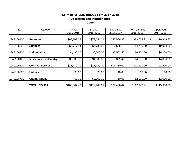#### CITY OF WILLIS BUDGET FY 2017-2018

#### Operation and Maintenance

Court

| No.        | Category                 | Actual       | <b>Budget</b> | 8 Mo Exp    | Proj Year-End | Approved        |
|------------|--------------------------|--------------|---------------|-------------|---------------|-----------------|
|            |                          | 2015-2016    | 2016-2017     | 2016-2017   | 2015-2016     | 2017-2018       |
|            |                          |              |               |             |               |                 |
| 1949106100 | <b>Personnel</b>         | \$68,863.28  | \$73,654.21   | \$45,556.42 | \$73,654.21   | 70,918.75<br>\$ |
|            |                          |              |               |             |               |                 |
| 1949106200 | <b>Supplies</b>          | \$2,717.84   | \$4,780.00    | \$2,566.13  | \$4,780.00    | \$9,914.00      |
|            |                          |              |               |             |               |                 |
| 1949106300 | Maintenance              | \$4,490.00   | \$6,200.00    | \$3,562.50  | \$6,200.00    | \$6,200.00      |
|            |                          |              |               |             |               |                 |
| 1949106400 | Miscellaneous/Sundry     | \$3,306.30   | \$4,886.00    | \$1,371.42  | \$4,886.00    | \$4,886.00      |
|            |                          |              |               |             |               |                 |
| 1949106500 | <b>Contract Services</b> | \$21,470.00  | \$21,420.00   | \$14,380.00 | \$21,420.00   | \$21,470.00     |
|            |                          |              |               |             |               |                 |
| 1949106600 | <b>Utilities</b>         | \$0.00       | \$0.00        | \$0.00      | \$0.00        | \$0.00          |
|            |                          |              |               |             |               |                 |
| 1949106700 | <b>Capital Outlay</b>    | \$0.00       | \$2,000.00    | \$0.00      | \$2,000.00    | \$2,000.00      |
|            |                          |              |               |             |               |                 |
|            | <b>TOTAL COURT</b>       | \$100,847.42 | \$112,940.21  | \$67,436.47 | \$112,940.21  | \$115,388.75    |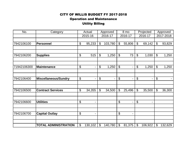# Operation and Maintenance CITY OF WILLIS BUDGET FY 2017-2018 Utility Billing

| No.         | Category                    | Actual               |                            | Approved |                           | 8 mo    |                           | Projected | Approved              |         |
|-------------|-----------------------------|----------------------|----------------------------|----------|---------------------------|---------|---------------------------|-----------|-----------------------|---------|
|             |                             | 2015-16              |                            | 2016-17  |                           | 2016-17 | 2016-17                   |           | 2017-2018             |         |
|             |                             |                      |                            |          |                           |         |                           |           |                       |         |
| 7942106100  | Personnel                   | \$<br>95,233         | $\boldsymbol{\mathsf{S}}$  | 103,780  | $\boldsymbol{\mathsf{S}}$ | 55,806  | \$                        | 69,142    | \$                    | 93,829  |
|             |                             |                      |                            |          |                           |         |                           |           |                       |         |
|             |                             |                      |                            |          |                           |         |                           |           |                       |         |
| 7942106200  | <b>Supplies</b>             | \$<br>515            | $\boldsymbol{\theta}$      | 1,250    | $\boldsymbol{\theta}$     | 73      | $\boldsymbol{\mathsf{S}}$ | 1,030     | \$                    | 1,250   |
|             |                             |                      |                            |          |                           |         |                           |           |                       |         |
| 71942106300 | <b>Maintenance</b>          | \$<br>-              | $\boldsymbol{\mathsf{\$}}$ | 1,250    | $\boldsymbol{\mathsf{S}}$ |         | $\boldsymbol{\mathsf{S}}$ | 1,250     | $\mathfrak{S}$        | 1,250   |
|             |                             |                      |                            |          |                           |         |                           |           |                       |         |
|             |                             |                      |                            |          |                           |         |                           |           |                       |         |
| 7942106400  | <b>Miscellaneous/Sundry</b> | \$<br>$\overline{a}$ | \$                         | -        | \$                        |         | $\boldsymbol{\theta}$     |           | $\boldsymbol{\theta}$ |         |
|             |                             |                      |                            |          |                           |         |                           |           |                       |         |
| 7942106500  | <b>Contract Services</b>    | \$<br>34,355         | $\boldsymbol{\mathsf{S}}$  | 34,500   | \$                        | 25,496  | $\boldsymbol{\mathsf{S}}$ | 35,500    | \$                    | 36,300  |
|             |                             |                      |                            |          |                           |         |                           |           |                       |         |
|             |                             |                      |                            |          |                           |         |                           |           |                       |         |
| 7942106600  | <b>Utilities</b>            | \$<br>$\blacksquare$ |                            |          | \$                        |         | $\overline{\Theta}$       |           |                       |         |
|             |                             |                      |                            |          |                           |         |                           |           |                       |         |
|             |                             |                      |                            |          |                           |         |                           |           |                       |         |
| 7942106700  | <b>Capital Outlay</b>       | \$<br>$\blacksquare$ |                            |          | \$                        |         |                           |           |                       |         |
|             |                             |                      |                            |          |                           |         |                           |           |                       |         |
|             |                             |                      |                            |          |                           |         |                           |           |                       |         |
|             | <b>TOTAL ADMINISTRATION</b> | \$<br>130,102        | $\boldsymbol{\mathsf{S}}$  | 140,780  | \$                        | 81,375  | $\boldsymbol{\mathsf{S}}$ | 106,922   | \$                    | 132,629 |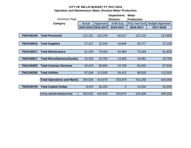# **CITY OF WILLIS BUDGET FY 2017-2018 Operation and Maintenance Water Division-Water Production**

|            |                                    |                     |          | Department: | <b>Water</b>      |                        |
|------------|------------------------------------|---------------------|----------|-------------|-------------------|------------------------|
|            | <b>Summary Page</b>                |                     |          | Division:   | <b>Production</b> |                        |
|            | Category                           | Actual              | Approved | 8 Mo Exp    | Proj Year-End     | <b>Budget Approved</b> |
|            |                                    | 2015-2016 2016-2017 |          | 2016-2017   | 2016-2017         | 2017-2018              |
|            |                                    |                     |          |             |                   |                        |
| 7943106100 | <b>Total Personnel</b>             | 112,151             | 102,240  | 82,617      | 122,110           | 122,869                |
|            |                                    |                     |          |             |                   |                        |
| 7943106815 | <b>Total Supplies</b>              | 27,157              | 32,240   | 18,809      | 30,777            | 37,240                 |
|            |                                    |                     |          |             |                   |                        |
| 7943106817 | <b>Total Maintenance</b>           | 51,209              | 78,050   | 54,969      | 79,289            | 81,800                 |
|            |                                    |                     |          |             |                   |                        |
| 7943106817 | <b>Total Miscellaneous/Sundry</b>  | 16,333              | 19,750   | 13,365      | 19,582            | 19,750                 |
|            |                                    |                     |          |             |                   |                        |
| 7943106500 | <b>Total Contract Services</b>     | 40,429              | 68,890   | 24,708      | 65,000            | 67,924                 |
| 7943106200 | <b>Total Utilities</b>             | 97,248              | 113,500  | 59,412      | 98,500            | 113,500                |
|            |                                    |                     |          |             |                   |                        |
|            | <b>Total Operations and Maint.</b> | 344,526             | 414,670  | 253,879     | 415,258           | 443,083                |
|            |                                    |                     |          |             |                   |                        |
| 7943106700 | <b>Total Capital Outlay</b>        | 8,476               | 30,250   | $\mathbf 0$ | 10,250            | 52,500                 |
|            |                                    |                     |          |             |                   |                        |
|            | <b>TOTAL WATER PRODUCTION</b>      | 353,002             | 444,920  | 253,879     | 425,508           | 495,583                |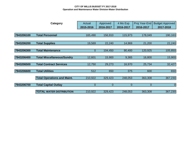#### **CITY OF WILLIS BUDGET FY 2017-2018 Operation and Maintenance Water Division-Water Distribution**

|            | Category                           | Actual<br>2015-2016 | Approved<br>2016-2017 | 4 Mo Exp<br>2016-2017 | Proj Year-End<br>2016-2017 | <b>Budget Approved</b><br>2017-2018 |
|------------|------------------------------------|---------------------|-----------------------|-----------------------|----------------------------|-------------------------------------|
|            |                                    |                     |                       |                       |                            |                                     |
| 7943206100 | <b>Total Personnel</b>             | 165,490             | 156,910               | 115,973               | 178,049                    | 190,163                             |
|            |                                    |                     |                       |                       |                            |                                     |
| 7943206200 | <b>Total Supplies</b>              | 19,569              | 22,240                | 14,969                | 21,200                     | 22,240                              |
|            |                                    |                     |                       |                       |                            |                                     |
| 7943206300 | <b>Total Maintenance</b>           | $\overline{0}$      | 104,450               | 90,400                | 120,925                    | 105,850                             |
|            |                                    |                     |                       |                       |                            |                                     |
| 7943206400 | <b>Total Miscellaneous/Sundry</b>  | 12,601              | 15,900                | 9,365                 | 16,800                     | 15,900                              |
| 7943206500 | <b>Total Contract Services</b>     | 12,750              | 29,273                | 16,970                | 25,734                     | 32,427                              |
| 7943206600 | <b>Total Utilities</b>             | 512                 | 650                   | 375                   | 600                        | 650                                 |
|            | <b>Total Operations and Maint.</b> | 210,922             | 329,423               | 248,053               | 363,308                    | 367,230                             |
| 7943206700 | <b>Total Capital Outlay</b>        | $\mathbf 0$         | $\overline{0}$        | $\mathbf 0$           | $\overline{0}$             | $\theta$                            |
|            | <b>TOTAL WATER DISTRIBUTION</b>    | 210,922             | 329,423               | 248,053               | 363,308                    | 367,230                             |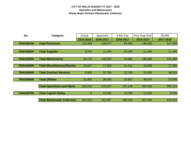#### **CITY OF WILLIS BUDGET FY 2017 - 2018 Operation and Maintenance Waste Water Division-Wastewater Collection**

| No.        | Category                           | Actual    | Approved  | 8 Mo Exp  | Proj Year-End | 25,000    |
|------------|------------------------------------|-----------|-----------|-----------|---------------|-----------|
|            |                                    | 2015-2016 | 2016-2017 | 2016-2017 | 2016-2017     | 2017-2018 |
| 7944106100 | <b>Total Personnel</b>             | 142,866   | 148,877   | 99,493    | 148,326       | 147,360   |
|            |                                    |           |           |           |               |           |
| 7944106200 | <b>Total Supplies</b>              | 9,593     | 11,290    | 24,288    | 11,050        | 11,290    |
|            |                                    |           |           |           |               |           |
| 7944106300 | <b>Total Maintenance</b>           | 60,173    | 130,250   | 75,894    | 135,586       | 130,350   |
|            |                                    |           |           |           |               |           |
| 7944106400 | <b>Total Miscellaneous/Sundry</b>  | 28,827    | 17,300    | 11,411    | 18,596        | 17,300    |
| 7944106500 | <b>Total Contract Services</b>     | 8,992     | 32,780    | 22,245    | 32,000        | 36,015    |
|            |                                    |           |           |           |               |           |
| 7944106600 | <b>Total Utilities</b>             | 31,602    | 38,000    | 33,807    | 48,000        | 53,000    |
|            |                                    |           |           |           |               |           |
|            | <b>Total Operations and Maint.</b> | 282,053   | 378,497   | 267,138   | 393,558       | 395,315   |
| 7944106700 | <b>Total Capital Outlay</b>        | 0         | 13,500    | 13,500    | 13,500        | 8,000     |
|            |                                    |           |           |           |               |           |
|            | <b>Total Wastewater Collection</b> | 282,053   | 391,997   | 280,638   | 407,058       | 403,315   |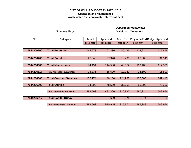#### **CITY OF WILLIS BUDGET FY 2017 - 2018 Operation and Maintenance Wastewater Division-Wastewater Treatment**

|            |                                    |                |           |           | Departmen Wastewater |                               |
|------------|------------------------------------|----------------|-----------|-----------|----------------------|-------------------------------|
|            | <b>Summary Page</b>                |                |           | Division: | <b>Treatment</b>     |                               |
| No.        | Category                           | Actual         | Approved  | 8 Mo Exp  |                      | Proj Year-End Budget Approved |
|            |                                    | 2015-2016      | 2016-2017 | 2016-2017 | 2016-2017            | 2017-2018                     |
|            |                                    |                |           |           |                      |                               |
| 7944206100 | <b>Total Personnel</b>             | 145,978        | 101,286   | 80,136    | 113,214              | 116,899                       |
|            |                                    |                |           |           |                      |                               |
| 7944206200 | <b>Total Supplies</b>              | 27,348         | 27,340    | 19,496    | 26,300               | 31,340                        |
|            |                                    |                |           |           |                      |                               |
| 7944206300 | <b>Total Maintenance</b>           | 74,454         | 114,500   | 43,572    | 109,400              | 117,500                       |
| 7944206817 | <b>Total Miscellaneous/Sundry</b>  | 15,335         | 15,500    | 10,141    | 16,100               | 15,500                        |
|            |                                    |                |           |           |                      |                               |
| 7944206500 | <b>Total Contract Services</b>     | 152,174        | 146,180   | 124,993   | 170,000              | 149,415                       |
| 7944206600 | <b>Total Utilities</b>             | 74,303         | 78,500    | 32,558    | 55,300               | 79,300                        |
|            |                                    |                |           |           |                      |                               |
|            | <b>Total Operations and Maint.</b> | 489,593        | 483,306   | 310,897   | 490,314              | 509,954                       |
| 7944206917 | <b>Total Capital Outlay</b>        | $\overline{0}$ | 27,639    | 5,074     | 5,074                | 0                             |
|            |                                    |                |           |           |                      |                               |
|            | <b>Total Wastewater Treatment</b>  | 489,593        | 510,945   | 315,971   | 495,388              | 509,954                       |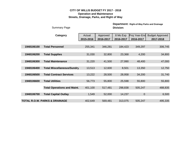## **CITY OF WILLIS BUDGET FY 2017 - 2018 Operation and Maintenance Streets, Drainage, Parks, and Right of Way**

|            | <b>Summary Page</b>                      |                     | <b>Department: Right-of-Way Parks and Drainage</b><br><b>Division:</b> |                       |                            |                                     |  |  |  |  |
|------------|------------------------------------------|---------------------|------------------------------------------------------------------------|-----------------------|----------------------------|-------------------------------------|--|--|--|--|
|            | Category                                 | Actual<br>2015-2016 | Approved<br>2016-2017                                                  | 8 Mo Exp<br>2016-2017 | Proj Year-End<br>2016-2017 | <b>Budget Approved</b><br>2017-2018 |  |  |  |  |
| 1948106100 | <b>Total Personnel</b>                   | 255,341             | 346,281                                                                | 184,423               | 349,297                    | 306,745                             |  |  |  |  |
| 1948106200 | <b>Total Supplies</b>                    | 31,030              | 32,800                                                                 | 23,368                | 4,200                      | 34,800                              |  |  |  |  |
| 1948106300 | <b>Total Maintenance</b>                 | 31,220              | 41,500                                                                 | 27,990                | 48,400                     | 47,000                              |  |  |  |  |
| 1948106400 | <b>Total Miscellaneous/Sundry</b>        | 13,513              | 12,600                                                                 | 8,501                 | 13,350                     | 12,750                              |  |  |  |  |
| 1948106500 | <b>Total Contract Services</b>           | 13,222              | 28,500                                                                 | 28,958                | 34,200                     | 31,740                              |  |  |  |  |
| 1948106600 | <b>Total Utilities</b>                   | 56,773              | 55,800                                                                 | 25,598                | 55,800                     | 55,800                              |  |  |  |  |
|            | <b>Total Operations and Maint.</b>       | 401,100             | 517,481                                                                | 298,838               | 505,247                    | 488,835                             |  |  |  |  |
| 1948106700 | <b>Total Capital Outlay</b>              | 1,549               | 52,000                                                                 | 14,237                | $\overline{0}$             | 6,500                               |  |  |  |  |
|            | <b>TOTAL R.O.W. PARKS &amp; DRAINAGE</b> | 402,649             | 569,481                                                                | 313,075               | 505,247                    | 495,335                             |  |  |  |  |